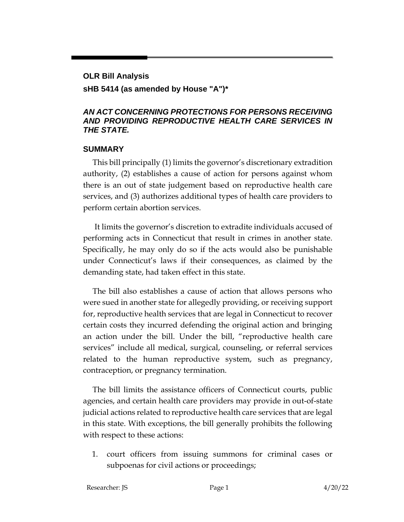# **OLR Bill Analysis**

#### **sHB 5414 (as amended by House "A")\***

#### *AN ACT CONCERNING PROTECTIONS FOR PERSONS RECEIVING AND PROVIDING REPRODUCTIVE HEALTH CARE SERVICES IN THE STATE.*

#### **SUMMARY**

This bill principally (1) limits the governor's discretionary extradition authority, (2) establishes a cause of action for persons against whom there is an out of state judgement based on reproductive health care services, and (3) authorizes additional types of health care providers to perform certain abortion services.

It limits the governor's discretion to extradite individuals accused of performing acts in Connecticut that result in crimes in another state. Specifically, he may only do so if the acts would also be punishable under Connecticut's laws if their consequences, as claimed by the demanding state, had taken effect in this state.

The bill also establishes a cause of action that allows persons who were sued in another state for allegedly providing, or receiving support for, reproductive health services that are legal in Connecticut to recover certain costs they incurred defending the original action and bringing an action under the bill. Under the bill, "reproductive health care services" include all medical, surgical, counseling, or referral services related to the human reproductive system, such as pregnancy, contraception, or pregnancy termination.

The bill limits the assistance officers of Connecticut courts, public agencies, and certain health care providers may provide in out-of-state judicial actions related to reproductive health care services that are legal in this state. With exceptions, the bill generally prohibits the following with respect to these actions:

1. court officers from issuing summons for criminal cases or subpoenas for civil actions or proceedings;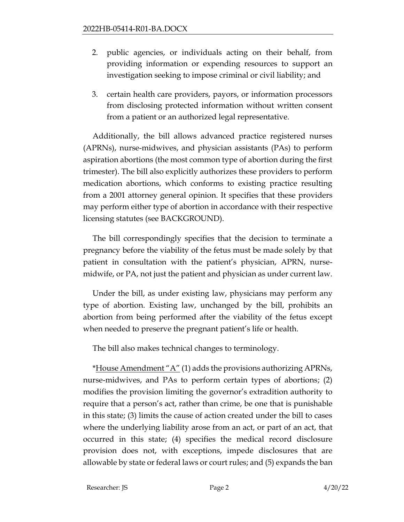- 2. public agencies, or individuals acting on their behalf, from providing information or expending resources to support an investigation seeking to impose criminal or civil liability; and
- 3. certain health care providers, payors, or information processors from disclosing protected information without written consent from a patient or an authorized legal representative.

Additionally, the bill allows advanced practice registered nurses (APRNs), nurse-midwives, and physician assistants (PAs) to perform aspiration abortions (the most common type of abortion during the first trimester). The bill also explicitly authorizes these providers to perform medication abortions, which conforms to existing practice resulting from a 2001 attorney general opinion. It specifies that these providers may perform either type of abortion in accordance with their respective licensing statutes (see BACKGROUND).

The bill correspondingly specifies that the decision to terminate a pregnancy before the viability of the fetus must be made solely by that patient in consultation with the patient's physician, APRN, nursemidwife, or PA, not just the patient and physician as under current law.

Under the bill, as under existing law, physicians may perform any type of abortion. Existing law, unchanged by the bill, prohibits an abortion from being performed after the viability of the fetus except when needed to preserve the pregnant patient's life or health.

The bill also makes technical changes to terminology.

\*House Amendment " $A$ " (1) adds the provisions authorizing APRNs, nurse-midwives, and PAs to perform certain types of abortions; (2) modifies the provision limiting the governor's extradition authority to require that a person's act, rather than crime, be one that is punishable in this state; (3) limits the cause of action created under the bill to cases where the underlying liability arose from an act, or part of an act, that occurred in this state; (4) specifies the medical record disclosure provision does not, with exceptions, impede disclosures that are allowable by state or federal laws or court rules; and (5) expands the ban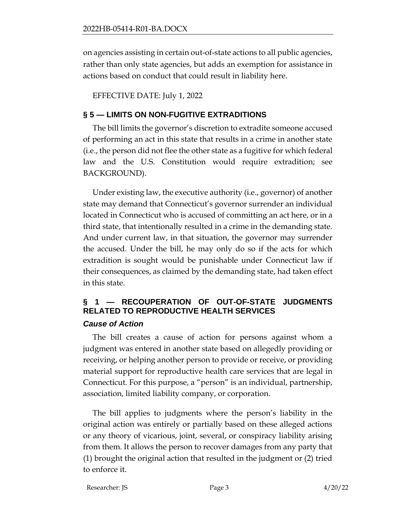on agencies assisting in certain out-of-state actions to all public agencies, rather than only state agencies, but adds an exemption for assistance in actions based on conduct that could result in liability here.

EFFECTIVE DATE: July 1, 2022

## **§ 5 — LIMITS ON NON-FUGITIVE EXTRADITIONS**

The bill limits the governor's discretion to extradite someone accused of performing an act in this state that results in a crime in another state (i.e., the person did not flee the other state as a fugitive for which federal law and the U.S. Constitution would require extradition; see BACKGROUND).

Under existing law, the executive authority (i.e., governor) of another state may demand that Connecticut's governor surrender an individual located in Connecticut who is accused of committing an act here, or in a third state, that intentionally resulted in a crime in the demanding state. And under current law, in that situation, the governor may surrender the accused. Under the bill, he may only do so if the acts for which extradition is sought would be punishable under Connecticut law if their consequences, as claimed by the demanding state, had taken effect in this state.

# **§ 1 — RECOUPERATION OF OUT-OF-STATE JUDGMENTS RELATED TO REPRODUCTIVE HEALTH SERVICES**

### *Cause of Action*

The bill creates a cause of action for persons against whom a judgment was entered in another state based on allegedly providing or receiving, or helping another person to provide or receive, or providing material support for reproductive health care services that are legal in Connecticut. For this purpose, a "person" is an individual, partnership, association, limited liability company, or corporation.

The bill applies to judgments where the person's liability in the original action was entirely or partially based on these alleged actions or any theory of vicarious, joint, several, or conspiracy liability arising from them. It allows the person to recover damages from any party that (1) brought the original action that resulted in the judgment or (2) tried to enforce it.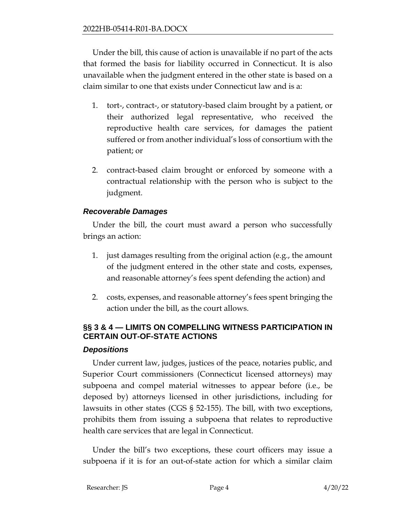Under the bill, this cause of action is unavailable if no part of the acts that formed the basis for liability occurred in Connecticut. It is also unavailable when the judgment entered in the other state is based on a claim similar to one that exists under Connecticut law and is a:

- 1. tort-, contract-, or statutory-based claim brought by a patient, or their authorized legal representative, who received the reproductive health care services, for damages the patient suffered or from another individual's loss of consortium with the patient; or
- 2. contract-based claim brought or enforced by someone with a contractual relationship with the person who is subject to the judgment.

## *Recoverable Damages*

Under the bill, the court must award a person who successfully brings an action:

- 1. just damages resulting from the original action (e.g., the amount of the judgment entered in the other state and costs, expenses, and reasonable attorney's fees spent defending the action) and
- 2. costs, expenses, and reasonable attorney's fees spent bringing the action under the bill, as the court allows.

# **§§ 3 & 4 — LIMITS ON COMPELLING WITNESS PARTICIPATION IN CERTAIN OUT-OF-STATE ACTIONS**

### *Depositions*

Under current law, judges, justices of the peace, notaries public, and Superior Court commissioners (Connecticut licensed attorneys) may subpoena and compel material witnesses to appear before (i.e., be deposed by) attorneys licensed in other jurisdictions, including for lawsuits in other states (CGS § 52-155). The bill, with two exceptions, prohibits them from issuing a subpoena that relates to reproductive health care services that are legal in Connecticut.

Under the bill's two exceptions, these court officers may issue a subpoena if it is for an out-of-state action for which a similar claim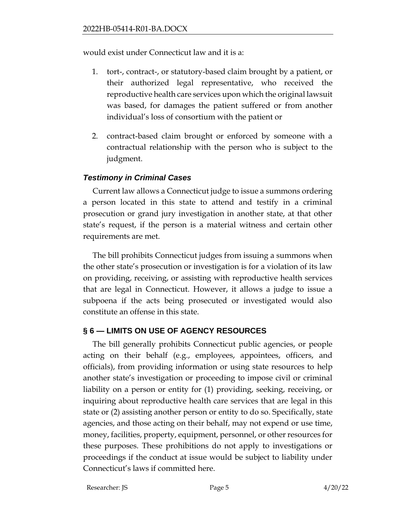would exist under Connecticut law and it is a:

- 1. tort-, contract-, or statutory-based claim brought by a patient, or their authorized legal representative, who received the reproductive health care services upon which the original lawsuit was based, for damages the patient suffered or from another individual's loss of consortium with the patient or
- 2. contract-based claim brought or enforced by someone with a contractual relationship with the person who is subject to the judgment.

## *Testimony in Criminal Cases*

Current law allows a Connecticut judge to issue a summons ordering a person located in this state to attend and testify in a criminal prosecution or grand jury investigation in another state, at that other state's request, if the person is a material witness and certain other requirements are met.

The bill prohibits Connecticut judges from issuing a summons when the other state's prosecution or investigation is for a violation of its law on providing, receiving, or assisting with reproductive health services that are legal in Connecticut. However, it allows a judge to issue a subpoena if the acts being prosecuted or investigated would also constitute an offense in this state.

# **§ 6 — LIMITS ON USE OF AGENCY RESOURCES**

The bill generally prohibits Connecticut public agencies, or people acting on their behalf (e.g., employees, appointees, officers, and officials), from providing information or using state resources to help another state's investigation or proceeding to impose civil or criminal liability on a person or entity for (1) providing, seeking, receiving, or inquiring about reproductive health care services that are legal in this state or (2) assisting another person or entity to do so. Specifically, state agencies, and those acting on their behalf, may not expend or use time, money, facilities, property, equipment, personnel, or other resources for these purposes. These prohibitions do not apply to investigations or proceedings if the conduct at issue would be subject to liability under Connecticut's laws if committed here.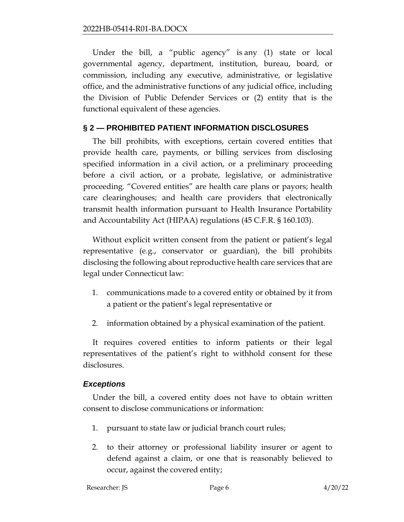Under the bill, a "public agency" is any (1) state or local governmental agency, department, institution, bureau, board, or commission, including any executive, administrative, or legislative office, and the administrative functions of any judicial office, including the Division of Public Defender Services or (2) entity that is the functional equivalent of these agencies.

## **§ 2 — PROHIBITED PATIENT INFORMATION DISCLOSURES**

The bill prohibits, with exceptions, certain covered entities that provide health care, payments, or billing services from disclosing specified information in a civil action, or a preliminary proceeding before a civil action, or a probate, legislative, or administrative proceeding. "Covered entities" are health care plans or payors; health care clearinghouses; and health care providers that electronically transmit health information pursuant to Health Insurance Portability and Accountability Act (HIPAA) regulations (45 C.F.R. § 160.103).

Without explicit written consent from the patient or patient's legal representative (e.g., conservator or guardian), the bill prohibits disclosing the following about reproductive health care services that are legal under Connecticut law:

- 1. communications made to a covered entity or obtained by it from a patient or the patient's legal representative or
- 2. information obtained by a physical examination of the patient.

It requires covered entities to inform patients or their legal representatives of the patient's right to withhold consent for these disclosures.

### *Exceptions*

Under the bill, a covered entity does not have to obtain written consent to disclose communications or information:

- 1. pursuant to state law or judicial branch court rules;
- 2. to their attorney or professional liability insurer or agent to defend against a claim, or one that is reasonably believed to occur, against the covered entity;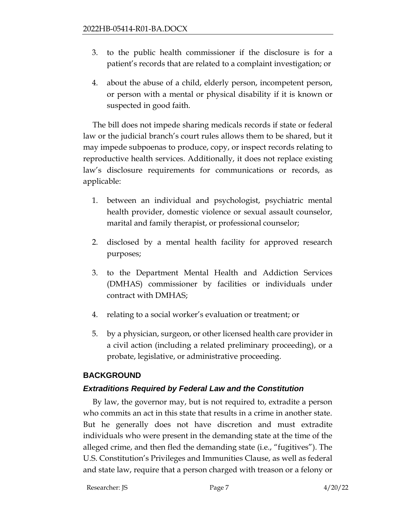- 3. to the public health commissioner if the disclosure is for a patient's records that are related to a complaint investigation; or
- 4. about the abuse of a child, elderly person, incompetent person, or person with a mental or physical disability if it is known or suspected in good faith.

The bill does not impede sharing medicals records if state or federal law or the judicial branch's court rules allows them to be shared, but it may impede subpoenas to produce, copy, or inspect records relating to reproductive health services. Additionally, it does not replace existing law's disclosure requirements for communications or records, as applicable:

- 1. between an individual and psychologist, psychiatric mental health provider, domestic violence or sexual assault counselor, marital and family therapist, or professional counselor;
- 2. disclosed by a mental health facility for approved research purposes;
- 3. to the Department Mental Health and Addiction Services (DMHAS) commissioner by facilities or individuals under contract with DMHAS;
- 4. relating to a social worker's evaluation or treatment; or
- 5. by a physician, surgeon, or other licensed health care provider in a civil action (including a related preliminary proceeding), or a probate, legislative, or administrative proceeding.

### **BACKGROUND**

# *Extraditions Required by Federal Law and the Constitution*

By law, the governor may, but is not required to, extradite a person who commits an act in this state that results in a crime in another state. But he generally does not have discretion and must extradite individuals who were present in the demanding state at the time of the alleged crime, and then fled the demanding state (i.e., "fugitives"). The U.S. Constitution's Privileges and Immunities Clause, as well as federal and state law, require that a person charged with treason or a felony or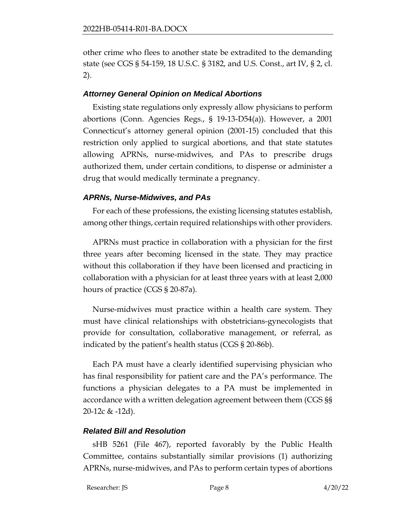other crime who flees to another state be extradited to the demanding state (see CGS § 54-159, 18 U.S.C. § 3182, and U.S. Const., art IV, § 2, cl. 2).

## *Attorney General Opinion on Medical Abortions*

Existing state regulations only expressly allow physicians to perform abortions (Conn. Agencies Regs., § 19-13-D54(a)). However, a 2001 Connecticut's attorney general opinion (2001-15) concluded that this restriction only applied to surgical abortions, and that state statutes allowing APRNs, nurse-midwives, and PAs to prescribe drugs authorized them, under certain conditions, to dispense or administer a drug that would medically terminate a pregnancy.

# *APRNs, Nurse-Midwives, and PAs*

For each of these professions, the existing licensing statutes establish, among other things, certain required relationships with other providers.

APRNs must practice in collaboration with a physician for the first three years after becoming licensed in the state. They may practice without this collaboration if they have been licensed and practicing in collaboration with a physician for at least three years with at least 2,000 hours of practice (CGS § 20-87a).

Nurse-midwives must practice within a health care system. They must have clinical relationships with obstetricians-gynecologists that provide for consultation, collaborative management, or referral, as indicated by the patient's health status (CGS § 20-86b).

Each PA must have a clearly identified supervising physician who has final responsibility for patient care and the PA's performance. The functions a physician delegates to a PA must be implemented in accordance with a written delegation agreement between them (CGS §§ 20-12c & -12d).

# *Related Bill and Resolution*

sHB 5261 (File 467), reported favorably by the Public Health Committee, contains substantially similar provisions (1) authorizing APRNs, nurse-midwives, and PAs to perform certain types of abortions